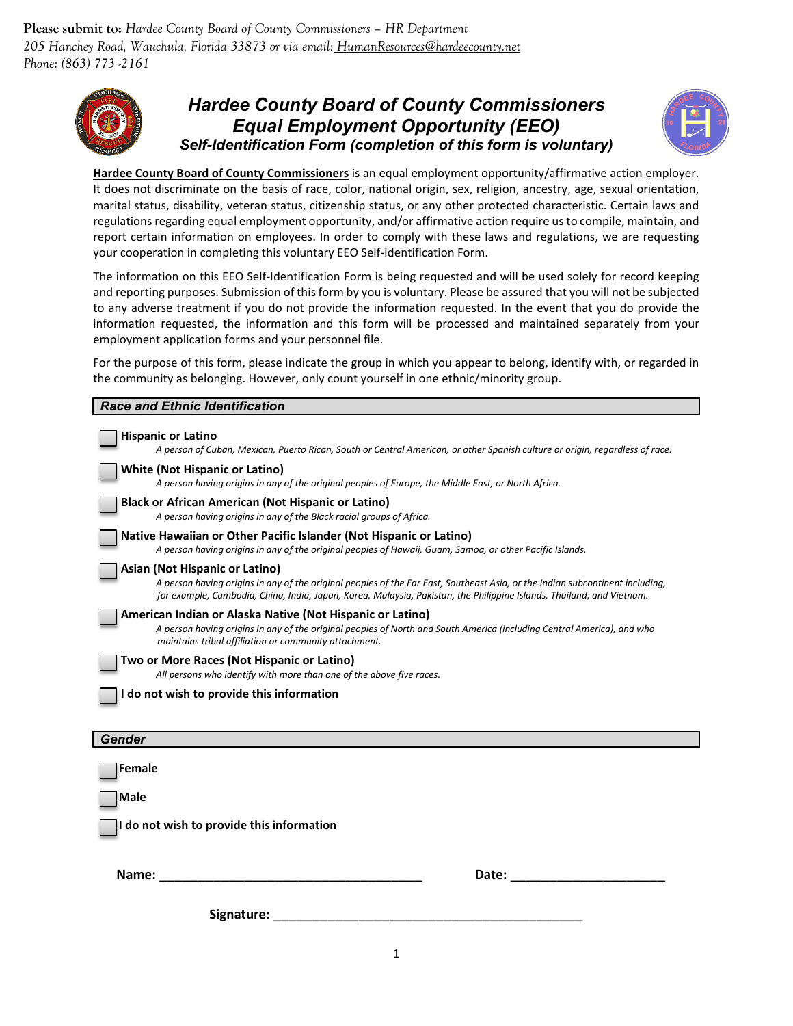**Please submit to:** *Hardee County Board of County Commissioners – HR Department 205 Hanchey Road, Wauchula, Florida 33873 or via email: HumanResources@hardeecounty.net Phone: (863) 773 -2161*



## *Hardee County Board of County Commissioners Equal Employment Opportunity (EEO) Self-Identification Form (completion of this form is voluntary)*



**Hardee County Board of County Commissioners** is an equal employment opportunity/affirmative action employer. It does not discriminate on the basis of race, color, national origin, sex, religion, ancestry, age, sexual orientation, marital status, disability, veteran status, citizenship status, or any other protected characteristic. Certain laws and regulations regarding equal employment opportunity, and/or affirmative action require us to compile, maintain, and report certain information on employees. In order to comply with these laws and regulations, we are requesting your cooperation in completing this voluntary EEO Self-Identification Form.

The information on this EEO Self-Identification Form is being requested and will be used solely for record keeping and reporting purposes. Submission of this form by you is voluntary. Please be assured that you will not be subjected to any adverse treatment if you do not provide the information requested. In the event that you do provide the information requested, the information and this form will be processed and maintained separately from your employment application forms and your personnel file.

For the purpose of this form, please indicate the group in which you appear to belong, identify with, or regarded in the community as belonging. However, only count yourself in one ethnic/minority group.

| <b>Race and Ethnic Identification</b>                                                                                                                                                                                                                                                    |
|------------------------------------------------------------------------------------------------------------------------------------------------------------------------------------------------------------------------------------------------------------------------------------------|
| <b>Hispanic or Latino</b><br>A person of Cuban, Mexican, Puerto Rican, South or Central American, or other Spanish culture or origin, regardless of race.                                                                                                                                |
| <b>White (Not Hispanic or Latino)</b><br>A person having origins in any of the original peoples of Europe, the Middle East, or North Africa.                                                                                                                                             |
| <b>Black or African American (Not Hispanic or Latino)</b><br>A person having origins in any of the Black racial groups of Africa.                                                                                                                                                        |
| Native Hawaiian or Other Pacific Islander (Not Hispanic or Latino)<br>A person having origins in any of the original peoples of Hawaii, Guam, Samoa, or other Pacific Islands.                                                                                                           |
| Asian (Not Hispanic or Latino)<br>A person having origins in any of the original peoples of the Far East, Southeast Asia, or the Indian subcontinent including,<br>for example, Cambodia, China, India, Japan, Korea, Malaysia, Pakistan, the Philippine Islands, Thailand, and Vietnam. |
| American Indian or Alaska Native (Not Hispanic or Latino)<br>A person having origins in any of the original peoples of North and South America (including Central America), and who<br>maintains tribal affiliation or community attachment.                                             |
| Two or More Races (Not Hispanic or Latino)<br>All persons who identify with more than one of the above five races.                                                                                                                                                                       |
| do not wish to provide this information                                                                                                                                                                                                                                                  |
| <b>Gender</b>                                                                                                                                                                                                                                                                            |
| Female                                                                                                                                                                                                                                                                                   |
| Male                                                                                                                                                                                                                                                                                     |
| do not wish to provide this information                                                                                                                                                                                                                                                  |
| Name:<br>Date:                                                                                                                                                                                                                                                                           |
| Signature:                                                                                                                                                                                                                                                                               |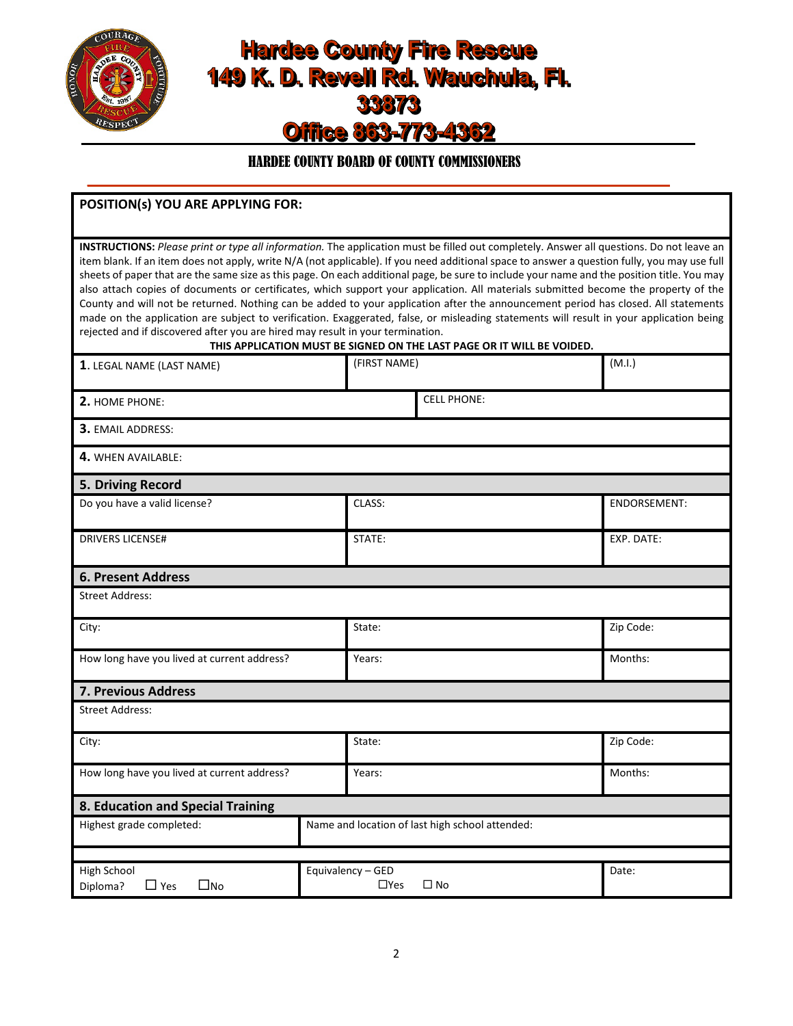

# **Hardee County Fire Rescue** 149 K. D. Revell Rd. Wauchula, Fl. 33873 Office 863-773-4362

## HARDEE COUNTY BOARD OF COUNTY COMMISSIONERS \_\_\_\_\_\_\_\_\_\_\_\_\_\_\_\_\_\_\_\_\_\_\_\_\_\_\_\_\_\_\_\_\_\_\_\_\_\_\_\_\_\_\_\_\_\_\_\_\_\_\_\_\_\_\_\_\_\_\_\_\_\_\_\_\_\_\_\_\_\_\_\_\_\_\_

| POSITION(s) YOU ARE APPLYING FOR:                                                                                                                                                                                                                                                                                                                                                                                                                                                                                                                                                                                                                                                                                                                                                                                                                                                                                                                |                                                                        |              |
|--------------------------------------------------------------------------------------------------------------------------------------------------------------------------------------------------------------------------------------------------------------------------------------------------------------------------------------------------------------------------------------------------------------------------------------------------------------------------------------------------------------------------------------------------------------------------------------------------------------------------------------------------------------------------------------------------------------------------------------------------------------------------------------------------------------------------------------------------------------------------------------------------------------------------------------------------|------------------------------------------------------------------------|--------------|
| INSTRUCTIONS: Please print or type all information. The application must be filled out completely. Answer all questions. Do not leave an<br>item blank. If an item does not apply, write N/A (not applicable). If you need additional space to answer a question fully, you may use full<br>sheets of paper that are the same size as this page. On each additional page, be sure to include your name and the position title. You may<br>also attach copies of documents or certificates, which support your application. All materials submitted become the property of the<br>County and will not be returned. Nothing can be added to your application after the announcement period has closed. All statements<br>made on the application are subject to verification. Exaggerated, false, or misleading statements will result in your application being<br>rejected and if discovered after you are hired may result in your termination. | THIS APPLICATION MUST BE SIGNED ON THE LAST PAGE OR IT WILL BE VOIDED. |              |
| 1. LEGAL NAME (LAST NAME)                                                                                                                                                                                                                                                                                                                                                                                                                                                                                                                                                                                                                                                                                                                                                                                                                                                                                                                        | (FIRST NAME)                                                           | (M.I.)       |
| <b>2. HOME PHONE:</b>                                                                                                                                                                                                                                                                                                                                                                                                                                                                                                                                                                                                                                                                                                                                                                                                                                                                                                                            | <b>CELL PHONE:</b>                                                     |              |
| <b>3. EMAIL ADDRESS:</b>                                                                                                                                                                                                                                                                                                                                                                                                                                                                                                                                                                                                                                                                                                                                                                                                                                                                                                                         |                                                                        |              |
| 4. WHEN AVAILABLE:                                                                                                                                                                                                                                                                                                                                                                                                                                                                                                                                                                                                                                                                                                                                                                                                                                                                                                                               |                                                                        |              |
| 5. Driving Record                                                                                                                                                                                                                                                                                                                                                                                                                                                                                                                                                                                                                                                                                                                                                                                                                                                                                                                                |                                                                        |              |
| Do you have a valid license?                                                                                                                                                                                                                                                                                                                                                                                                                                                                                                                                                                                                                                                                                                                                                                                                                                                                                                                     | CLASS:                                                                 | ENDORSEMENT: |
| <b>DRIVERS LICENSE#</b>                                                                                                                                                                                                                                                                                                                                                                                                                                                                                                                                                                                                                                                                                                                                                                                                                                                                                                                          | STATE:                                                                 | EXP. DATE:   |
| <b>6. Present Address</b>                                                                                                                                                                                                                                                                                                                                                                                                                                                                                                                                                                                                                                                                                                                                                                                                                                                                                                                        |                                                                        |              |
| Street Address:                                                                                                                                                                                                                                                                                                                                                                                                                                                                                                                                                                                                                                                                                                                                                                                                                                                                                                                                  |                                                                        |              |
| City:                                                                                                                                                                                                                                                                                                                                                                                                                                                                                                                                                                                                                                                                                                                                                                                                                                                                                                                                            | State:                                                                 | Zip Code:    |
| How long have you lived at current address?                                                                                                                                                                                                                                                                                                                                                                                                                                                                                                                                                                                                                                                                                                                                                                                                                                                                                                      | Years:                                                                 | Months:      |
| <b>7. Previous Address</b>                                                                                                                                                                                                                                                                                                                                                                                                                                                                                                                                                                                                                                                                                                                                                                                                                                                                                                                       |                                                                        |              |
| <b>Street Address:</b>                                                                                                                                                                                                                                                                                                                                                                                                                                                                                                                                                                                                                                                                                                                                                                                                                                                                                                                           |                                                                        |              |
| City:                                                                                                                                                                                                                                                                                                                                                                                                                                                                                                                                                                                                                                                                                                                                                                                                                                                                                                                                            | State:                                                                 | Zip Code:    |
| How long have you lived at current address?                                                                                                                                                                                                                                                                                                                                                                                                                                                                                                                                                                                                                                                                                                                                                                                                                                                                                                      | Years:                                                                 | Months:      |
| 8. Education and Special Training                                                                                                                                                                                                                                                                                                                                                                                                                                                                                                                                                                                                                                                                                                                                                                                                                                                                                                                |                                                                        |              |
| Highest grade completed:                                                                                                                                                                                                                                                                                                                                                                                                                                                                                                                                                                                                                                                                                                                                                                                                                                                                                                                         | Name and location of last high school attended:                        |              |
|                                                                                                                                                                                                                                                                                                                                                                                                                                                                                                                                                                                                                                                                                                                                                                                                                                                                                                                                                  |                                                                        |              |
| High School<br>$\square$ No<br>Diploma?<br>$\Box$ Yes                                                                                                                                                                                                                                                                                                                                                                                                                                                                                                                                                                                                                                                                                                                                                                                                                                                                                            | Equivalency - GED<br>$\Box$ Yes<br>$\square$ No                        | Date:        |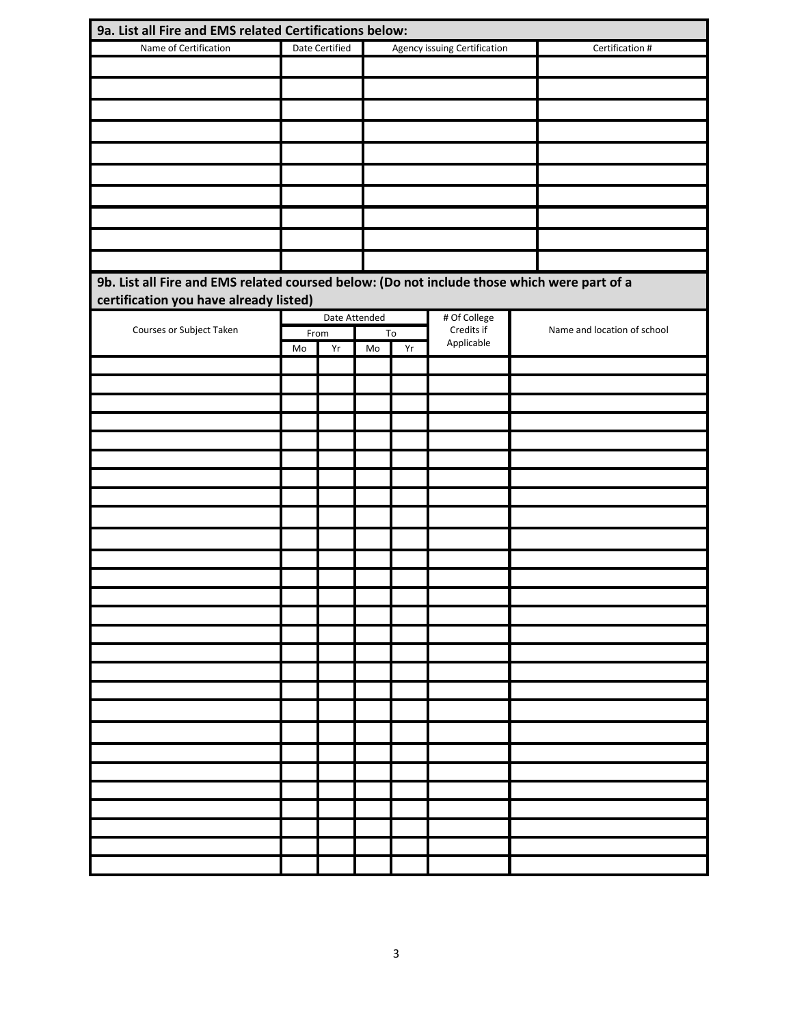| 9a. List all Fire and EMS related Certifications below:                                     |      |                |               |    |                              |                             |
|---------------------------------------------------------------------------------------------|------|----------------|---------------|----|------------------------------|-----------------------------|
| Name of Certification                                                                       |      | Date Certified |               |    | Agency issuing Certification | Certification #             |
|                                                                                             |      |                |               |    |                              |                             |
|                                                                                             |      |                |               |    |                              |                             |
|                                                                                             |      |                |               |    |                              |                             |
|                                                                                             |      |                |               |    |                              |                             |
|                                                                                             |      |                |               |    |                              |                             |
|                                                                                             |      |                |               |    |                              |                             |
|                                                                                             |      |                |               |    |                              |                             |
|                                                                                             |      |                |               |    |                              |                             |
|                                                                                             |      |                |               |    |                              |                             |
|                                                                                             |      |                |               |    |                              |                             |
|                                                                                             |      |                |               |    |                              |                             |
|                                                                                             |      |                |               |    |                              |                             |
| 9b. List all Fire and EMS related coursed below: (Do not include those which were part of a |      |                |               |    |                              |                             |
| certification you have already listed)                                                      |      |                |               |    |                              |                             |
|                                                                                             |      |                | Date Attended |    | # Of College                 |                             |
| Courses or Subject Taken                                                                    | From |                |               | To | Credits if                   | Name and location of school |
|                                                                                             | Mo   | Yr             | Mo            | Yr | Applicable                   |                             |
|                                                                                             |      |                |               |    |                              |                             |
|                                                                                             |      |                |               |    |                              |                             |
|                                                                                             |      |                |               |    |                              |                             |
|                                                                                             |      |                |               |    |                              |                             |
|                                                                                             |      |                |               |    |                              |                             |
|                                                                                             |      |                |               |    |                              |                             |
|                                                                                             |      |                |               |    |                              |                             |
|                                                                                             |      |                |               |    |                              |                             |
|                                                                                             |      |                |               |    |                              |                             |
|                                                                                             |      |                |               |    |                              |                             |
|                                                                                             |      |                |               |    |                              |                             |
|                                                                                             |      |                |               |    |                              |                             |
|                                                                                             |      |                |               |    |                              |                             |
|                                                                                             |      |                |               |    |                              |                             |
|                                                                                             |      |                |               |    |                              |                             |
|                                                                                             |      |                |               |    |                              |                             |
|                                                                                             |      |                |               |    |                              |                             |
|                                                                                             |      |                |               |    |                              |                             |
|                                                                                             |      |                |               |    |                              |                             |
|                                                                                             |      |                |               |    |                              |                             |
|                                                                                             |      |                |               |    |                              |                             |
|                                                                                             |      |                |               |    |                              |                             |
|                                                                                             |      |                |               |    |                              |                             |
|                                                                                             |      |                |               |    |                              |                             |
|                                                                                             |      |                |               |    |                              |                             |
|                                                                                             |      |                |               |    |                              |                             |
|                                                                                             |      |                |               |    |                              |                             |
|                                                                                             |      |                |               |    |                              |                             |
|                                                                                             |      |                |               |    |                              |                             |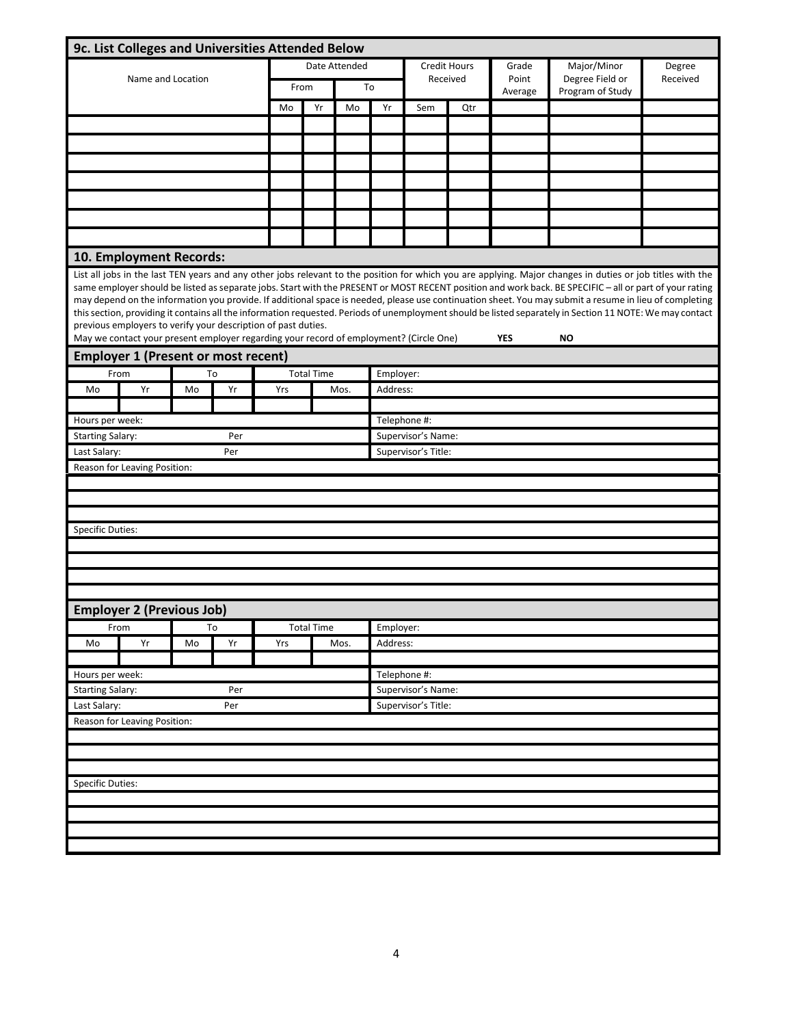|                         | 9c. List Colleges and Universities Attended Below                                                                                                                                                                                                                                                                                                                                                                                                                                                                                                                                                                                                                                                                                                                                                                                  |    |     |      |                   |               |                     |                     |          |                  |                                     |          |
|-------------------------|------------------------------------------------------------------------------------------------------------------------------------------------------------------------------------------------------------------------------------------------------------------------------------------------------------------------------------------------------------------------------------------------------------------------------------------------------------------------------------------------------------------------------------------------------------------------------------------------------------------------------------------------------------------------------------------------------------------------------------------------------------------------------------------------------------------------------------|----|-----|------|-------------------|---------------|---------------------|---------------------|----------|------------------|-------------------------------------|----------|
|                         |                                                                                                                                                                                                                                                                                                                                                                                                                                                                                                                                                                                                                                                                                                                                                                                                                                    |    |     |      |                   | Date Attended | Credit Hours        |                     |          | Grade            | Major/Minor                         | Degree   |
|                         | Name and Location                                                                                                                                                                                                                                                                                                                                                                                                                                                                                                                                                                                                                                                                                                                                                                                                                  |    |     | From |                   |               | To                  |                     | Received | Point<br>Average | Degree Field or<br>Program of Study | Received |
|                         |                                                                                                                                                                                                                                                                                                                                                                                                                                                                                                                                                                                                                                                                                                                                                                                                                                    |    |     | Mo   | Yr                | Mo            | Yr                  | Sem                 | Qtr      |                  |                                     |          |
|                         |                                                                                                                                                                                                                                                                                                                                                                                                                                                                                                                                                                                                                                                                                                                                                                                                                                    |    |     |      |                   |               |                     |                     |          |                  |                                     |          |
|                         |                                                                                                                                                                                                                                                                                                                                                                                                                                                                                                                                                                                                                                                                                                                                                                                                                                    |    |     |      |                   |               |                     |                     |          |                  |                                     |          |
|                         |                                                                                                                                                                                                                                                                                                                                                                                                                                                                                                                                                                                                                                                                                                                                                                                                                                    |    |     |      |                   |               |                     |                     |          |                  |                                     |          |
|                         |                                                                                                                                                                                                                                                                                                                                                                                                                                                                                                                                                                                                                                                                                                                                                                                                                                    |    |     |      |                   |               |                     |                     |          |                  |                                     |          |
|                         |                                                                                                                                                                                                                                                                                                                                                                                                                                                                                                                                                                                                                                                                                                                                                                                                                                    |    |     |      |                   |               |                     |                     |          |                  |                                     |          |
|                         |                                                                                                                                                                                                                                                                                                                                                                                                                                                                                                                                                                                                                                                                                                                                                                                                                                    |    |     |      |                   |               |                     |                     |          |                  |                                     |          |
|                         |                                                                                                                                                                                                                                                                                                                                                                                                                                                                                                                                                                                                                                                                                                                                                                                                                                    |    |     |      |                   |               |                     |                     |          |                  |                                     |          |
|                         | 10. Employment Records:                                                                                                                                                                                                                                                                                                                                                                                                                                                                                                                                                                                                                                                                                                                                                                                                            |    |     |      |                   |               |                     |                     |          |                  |                                     |          |
|                         | List all jobs in the last TEN years and any other jobs relevant to the position for which you are applying. Major changes in duties or job titles with the<br>same employer should be listed as separate jobs. Start with the PRESENT or MOST RECENT position and work back. BE SPECIFIC - all or part of your rating<br>may depend on the information you provide. If additional space is needed, please use continuation sheet. You may submit a resume in lieu of completing<br>this section, providing it contains all the information requested. Periods of unemployment should be listed separately in Section 11 NOTE: We may contact<br>previous employers to verify your description of past duties.<br>May we contact your present employer regarding your record of employment? (Circle One)<br><b>YFS</b><br><b>NO</b> |    |     |      |                   |               |                     |                     |          |                  |                                     |          |
|                         | <b>Employer 1 (Present or most recent)</b>                                                                                                                                                                                                                                                                                                                                                                                                                                                                                                                                                                                                                                                                                                                                                                                         |    |     |      |                   |               |                     |                     |          |                  |                                     |          |
|                         | From                                                                                                                                                                                                                                                                                                                                                                                                                                                                                                                                                                                                                                                                                                                                                                                                                               |    | To  |      | <b>Total Time</b> |               | Employer:           |                     |          |                  |                                     |          |
| Mo                      | Yr                                                                                                                                                                                                                                                                                                                                                                                                                                                                                                                                                                                                                                                                                                                                                                                                                                 | Mo | Yr  | Yrs  |                   | Mos.          | Address:            |                     |          |                  |                                     |          |
| Hours per week:         |                                                                                                                                                                                                                                                                                                                                                                                                                                                                                                                                                                                                                                                                                                                                                                                                                                    |    |     |      |                   |               | Telephone #:        |                     |          |                  |                                     |          |
| <b>Starting Salary:</b> |                                                                                                                                                                                                                                                                                                                                                                                                                                                                                                                                                                                                                                                                                                                                                                                                                                    |    | Per |      |                   |               |                     | Supervisor's Name:  |          |                  |                                     |          |
| Last Salary:            |                                                                                                                                                                                                                                                                                                                                                                                                                                                                                                                                                                                                                                                                                                                                                                                                                                    |    | Per |      |                   |               |                     | Supervisor's Title: |          |                  |                                     |          |
|                         | Reason for Leaving Position:                                                                                                                                                                                                                                                                                                                                                                                                                                                                                                                                                                                                                                                                                                                                                                                                       |    |     |      |                   |               |                     |                     |          |                  |                                     |          |
|                         |                                                                                                                                                                                                                                                                                                                                                                                                                                                                                                                                                                                                                                                                                                                                                                                                                                    |    |     |      |                   |               |                     |                     |          |                  |                                     |          |
|                         |                                                                                                                                                                                                                                                                                                                                                                                                                                                                                                                                                                                                                                                                                                                                                                                                                                    |    |     |      |                   |               |                     |                     |          |                  |                                     |          |
|                         |                                                                                                                                                                                                                                                                                                                                                                                                                                                                                                                                                                                                                                                                                                                                                                                                                                    |    |     |      |                   |               |                     |                     |          |                  |                                     |          |
| <b>Specific Duties:</b> |                                                                                                                                                                                                                                                                                                                                                                                                                                                                                                                                                                                                                                                                                                                                                                                                                                    |    |     |      |                   |               |                     |                     |          |                  |                                     |          |
|                         |                                                                                                                                                                                                                                                                                                                                                                                                                                                                                                                                                                                                                                                                                                                                                                                                                                    |    |     |      |                   |               |                     |                     |          |                  |                                     |          |
|                         |                                                                                                                                                                                                                                                                                                                                                                                                                                                                                                                                                                                                                                                                                                                                                                                                                                    |    |     |      |                   |               |                     |                     |          |                  |                                     |          |
|                         |                                                                                                                                                                                                                                                                                                                                                                                                                                                                                                                                                                                                                                                                                                                                                                                                                                    |    |     |      |                   |               |                     |                     |          |                  |                                     |          |
|                         | <b>Employer 2 (Previous Job)</b>                                                                                                                                                                                                                                                                                                                                                                                                                                                                                                                                                                                                                                                                                                                                                                                                   |    |     |      |                   |               |                     |                     |          |                  |                                     |          |
|                         | From                                                                                                                                                                                                                                                                                                                                                                                                                                                                                                                                                                                                                                                                                                                                                                                                                               |    | To  |      | <b>Total Time</b> |               | Employer:           |                     |          |                  |                                     |          |
| Mo                      | Yr                                                                                                                                                                                                                                                                                                                                                                                                                                                                                                                                                                                                                                                                                                                                                                                                                                 | Mo | Yr  | Yrs  |                   | Mos.          | Address:            |                     |          |                  |                                     |          |
|                         |                                                                                                                                                                                                                                                                                                                                                                                                                                                                                                                                                                                                                                                                                                                                                                                                                                    |    |     |      |                   |               |                     |                     |          |                  |                                     |          |
| Hours per week:         |                                                                                                                                                                                                                                                                                                                                                                                                                                                                                                                                                                                                                                                                                                                                                                                                                                    |    |     |      |                   |               | Telephone #:        |                     |          |                  |                                     |          |
| <b>Starting Salary:</b> |                                                                                                                                                                                                                                                                                                                                                                                                                                                                                                                                                                                                                                                                                                                                                                                                                                    |    | Per |      |                   |               | Supervisor's Name:  |                     |          |                  |                                     |          |
| Last Salary:            |                                                                                                                                                                                                                                                                                                                                                                                                                                                                                                                                                                                                                                                                                                                                                                                                                                    |    | Per |      |                   |               | Supervisor's Title: |                     |          |                  |                                     |          |
|                         | Reason for Leaving Position:                                                                                                                                                                                                                                                                                                                                                                                                                                                                                                                                                                                                                                                                                                                                                                                                       |    |     |      |                   |               |                     |                     |          |                  |                                     |          |
|                         |                                                                                                                                                                                                                                                                                                                                                                                                                                                                                                                                                                                                                                                                                                                                                                                                                                    |    |     |      |                   |               |                     |                     |          |                  |                                     |          |
|                         |                                                                                                                                                                                                                                                                                                                                                                                                                                                                                                                                                                                                                                                                                                                                                                                                                                    |    |     |      |                   |               |                     |                     |          |                  |                                     |          |
|                         |                                                                                                                                                                                                                                                                                                                                                                                                                                                                                                                                                                                                                                                                                                                                                                                                                                    |    |     |      |                   |               |                     |                     |          |                  |                                     |          |
| <b>Specific Duties:</b> |                                                                                                                                                                                                                                                                                                                                                                                                                                                                                                                                                                                                                                                                                                                                                                                                                                    |    |     |      |                   |               |                     |                     |          |                  |                                     |          |
|                         |                                                                                                                                                                                                                                                                                                                                                                                                                                                                                                                                                                                                                                                                                                                                                                                                                                    |    |     |      |                   |               |                     |                     |          |                  |                                     |          |
|                         |                                                                                                                                                                                                                                                                                                                                                                                                                                                                                                                                                                                                                                                                                                                                                                                                                                    |    |     |      |                   |               |                     |                     |          |                  |                                     |          |
|                         |                                                                                                                                                                                                                                                                                                                                                                                                                                                                                                                                                                                                                                                                                                                                                                                                                                    |    |     |      |                   |               |                     |                     |          |                  |                                     |          |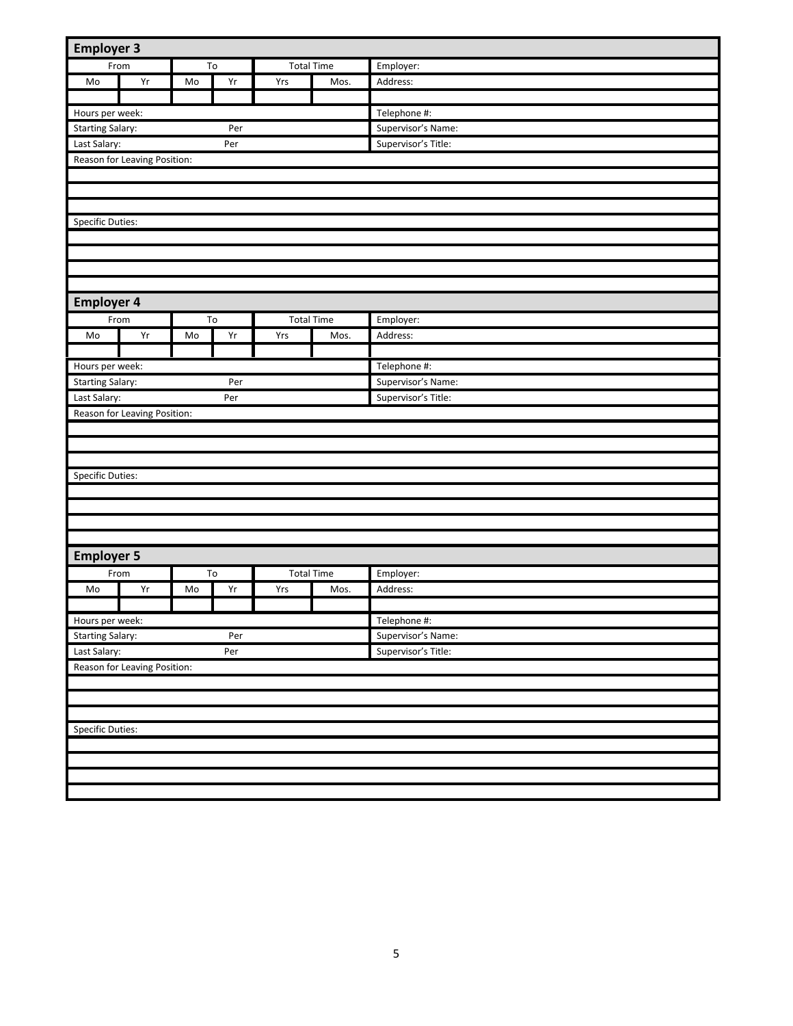| <b>Employer 3</b>       |                              |    |                 |     |                   |                     |
|-------------------------|------------------------------|----|-----------------|-----|-------------------|---------------------|
|                         | From                         |    | To              |     | <b>Total Time</b> | Employer:           |
| Mo                      | Yr                           | Mo | Yr              | Yrs | Mos.              | Address:            |
|                         |                              |    |                 |     |                   |                     |
| Hours per week:         |                              |    |                 |     |                   | Telephone #:        |
| <b>Starting Salary:</b> |                              |    | Per             |     |                   | Supervisor's Name:  |
| Last Salary:            |                              |    | Per             |     |                   | Supervisor's Title: |
|                         | Reason for Leaving Position: |    |                 |     |                   |                     |
|                         |                              |    |                 |     |                   |                     |
|                         |                              |    |                 |     |                   |                     |
|                         |                              |    |                 |     |                   |                     |
| Specific Duties:        |                              |    |                 |     |                   |                     |
|                         |                              |    |                 |     |                   |                     |
|                         |                              |    |                 |     |                   |                     |
|                         |                              |    |                 |     |                   |                     |
|                         |                              |    |                 |     |                   |                     |
| <b>Employer 4</b>       |                              |    |                 |     |                   |                     |
|                         | From                         |    | To              |     | <b>Total Time</b> | Employer:           |
| Mo                      | Yr                           | Mo | Yr              | Yrs | Mos.              | Address:            |
|                         |                              |    |                 |     |                   |                     |
| Hours per week:         |                              |    |                 |     |                   | Telephone #:        |
| <b>Starting Salary:</b> |                              |    | Per             |     |                   | Supervisor's Name:  |
| Last Salary:            |                              |    | Per             |     |                   | Supervisor's Title: |
|                         | Reason for Leaving Position: |    |                 |     |                   |                     |
|                         |                              |    |                 |     |                   |                     |
|                         |                              |    |                 |     |                   |                     |
|                         |                              |    |                 |     |                   |                     |
| Specific Duties:        |                              |    |                 |     |                   |                     |
|                         |                              |    |                 |     |                   |                     |
|                         |                              |    |                 |     |                   |                     |
|                         |                              |    |                 |     |                   |                     |
|                         |                              |    |                 |     |                   |                     |
|                         |                              |    |                 |     |                   |                     |
| <b>Employer 5</b>       |                              |    |                 |     |                   |                     |
|                         | From                         |    | $\overline{10}$ |     | <b>Total Time</b> | Employer:           |
| Mo                      | Yr                           | Mo | Yr              | Yrs | Mos.              | Address:            |
|                         |                              |    |                 |     |                   |                     |
| Hours per week:         |                              |    |                 |     |                   | Telephone #:        |
| <b>Starting Salary:</b> |                              |    | Per             |     |                   | Supervisor's Name:  |
| Last Salary:            |                              |    | Per             |     |                   | Supervisor's Title: |
|                         | Reason for Leaving Position: |    |                 |     |                   |                     |
|                         |                              |    |                 |     |                   |                     |
|                         |                              |    |                 |     |                   |                     |
|                         |                              |    |                 |     |                   |                     |
| <b>Specific Duties:</b> |                              |    |                 |     |                   |                     |
|                         |                              |    |                 |     |                   |                     |
|                         |                              |    |                 |     |                   |                     |
|                         |                              |    |                 |     |                   |                     |
|                         |                              |    |                 |     |                   |                     |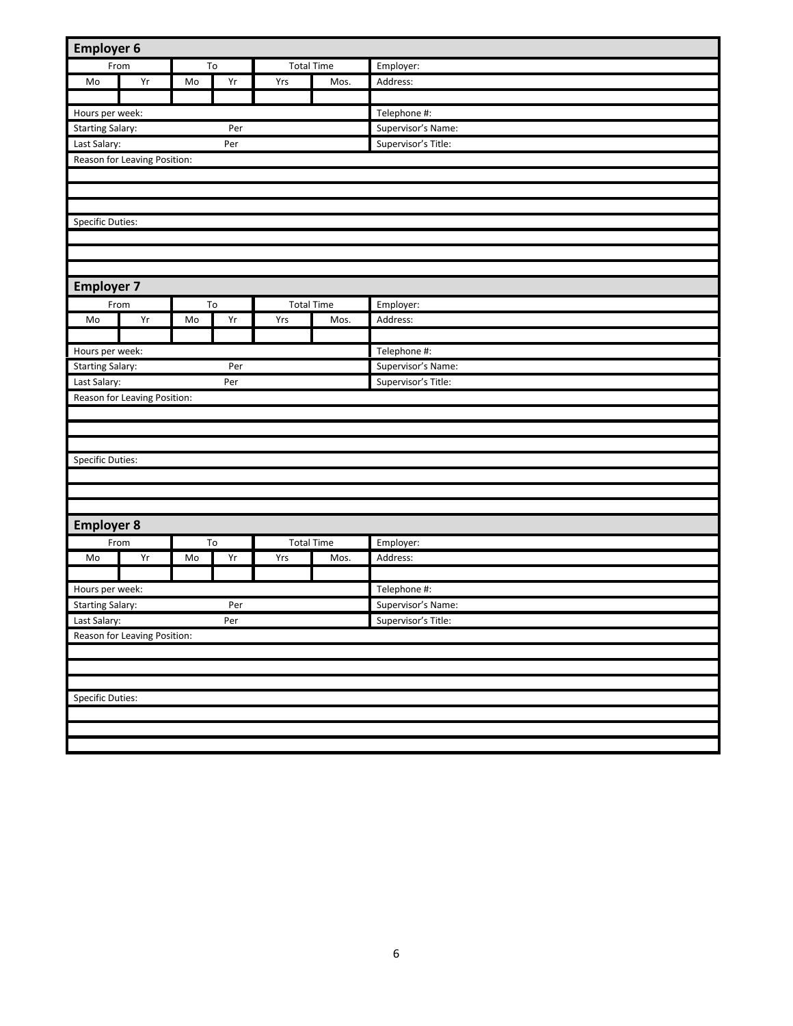| <b>Employer 6</b>       |                              |    |     |     |                   |                     |
|-------------------------|------------------------------|----|-----|-----|-------------------|---------------------|
| From                    |                              |    | To  |     | <b>Total Time</b> | Employer:           |
| Mo                      | Yr                           | Mo | Yr  | Yrs | Mos.              | Address:            |
|                         |                              |    |     |     |                   |                     |
| Hours per week:         |                              |    |     |     |                   | Telephone #:        |
| <b>Starting Salary:</b> |                              |    | Per |     |                   | Supervisor's Name:  |
| Last Salary:            |                              |    | Per |     |                   | Supervisor's Title: |
|                         | Reason for Leaving Position: |    |     |     |                   |                     |
|                         |                              |    |     |     |                   |                     |
|                         |                              |    |     |     |                   |                     |
|                         |                              |    |     |     |                   |                     |
| Specific Duties:        |                              |    |     |     |                   |                     |
|                         |                              |    |     |     |                   |                     |
|                         |                              |    |     |     |                   |                     |
|                         |                              |    |     |     |                   |                     |
| <b>Employer 7</b>       |                              |    |     |     |                   |                     |
| From                    |                              |    | To  |     | <b>Total Time</b> | Employer:           |
| Mo                      | Yr                           | Mo | Yr  | Yrs | Mos.              | Address:            |
|                         |                              |    |     |     |                   |                     |
| Hours per week:         |                              |    |     |     |                   | Telephone #:        |
| <b>Starting Salary:</b> |                              |    | Per |     |                   | Supervisor's Name:  |
| Last Salary:            |                              |    | Per |     |                   | Supervisor's Title: |
|                         | Reason for Leaving Position: |    |     |     |                   |                     |
|                         |                              |    |     |     |                   |                     |
|                         |                              |    |     |     |                   |                     |
|                         |                              |    |     |     |                   |                     |
| Specific Duties:        |                              |    |     |     |                   |                     |
|                         |                              |    |     |     |                   |                     |
|                         |                              |    |     |     |                   |                     |
|                         |                              |    |     |     |                   |                     |
| <b>Employer 8</b>       |                              |    |     |     |                   |                     |
| From                    |                              |    | To  |     | <b>Total Time</b> | Employer:           |
| Mo                      | Yr                           | Mo | Yr  | Yrs | Mos.              | Address:            |
|                         |                              |    |     |     |                   |                     |
| Hours per week:         |                              |    |     |     |                   | Telephone #:        |
| <b>Starting Salary:</b> |                              |    | Per |     |                   | Supervisor's Name:  |
| Last Salary:            |                              |    | Per |     |                   | Supervisor's Title: |
|                         | Reason for Leaving Position: |    |     |     |                   |                     |
|                         |                              |    |     |     |                   |                     |
|                         |                              |    |     |     |                   |                     |
|                         |                              |    |     |     |                   |                     |
| <b>Specific Duties:</b> |                              |    |     |     |                   |                     |
|                         |                              |    |     |     |                   |                     |
|                         |                              |    |     |     |                   |                     |
|                         |                              |    |     |     |                   |                     |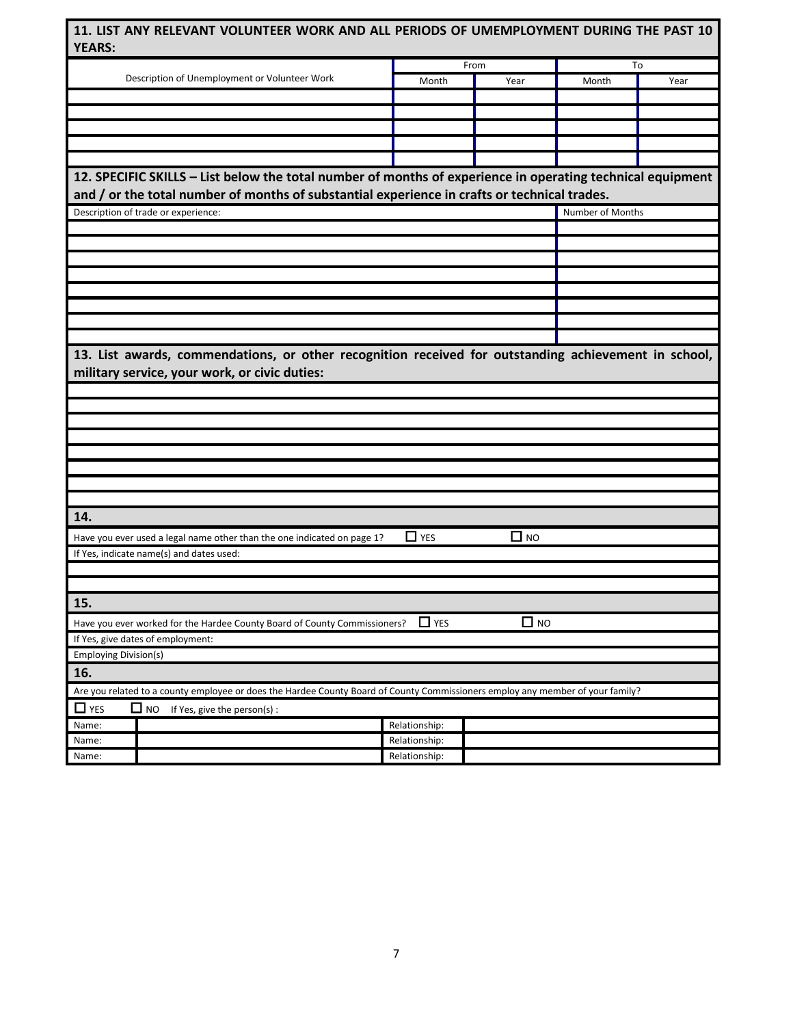|                                                                                                                                                       | 11. LIST ANY RELEVANT VOLUNTEER WORK AND ALL PERIODS OF UMEMPLOYMENT DURING THE PAST 10 |           |                  |      |  |
|-------------------------------------------------------------------------------------------------------------------------------------------------------|-----------------------------------------------------------------------------------------|-----------|------------------|------|--|
| <b>YEARS:</b>                                                                                                                                         |                                                                                         |           |                  |      |  |
|                                                                                                                                                       |                                                                                         | From      | To               |      |  |
| Description of Unemployment or Volunteer Work                                                                                                         | Month                                                                                   | Year      | Month            | Year |  |
|                                                                                                                                                       |                                                                                         |           |                  |      |  |
|                                                                                                                                                       |                                                                                         |           |                  |      |  |
|                                                                                                                                                       |                                                                                         |           |                  |      |  |
|                                                                                                                                                       |                                                                                         |           |                  |      |  |
|                                                                                                                                                       |                                                                                         |           |                  |      |  |
| 12. SPECIFIC SKILLS - List below the total number of months of experience in operating technical equipment                                            |                                                                                         |           |                  |      |  |
| and / or the total number of months of substantial experience in crafts or technical trades.                                                          |                                                                                         |           |                  |      |  |
| Description of trade or experience:                                                                                                                   |                                                                                         |           | Number of Months |      |  |
|                                                                                                                                                       |                                                                                         |           |                  |      |  |
|                                                                                                                                                       |                                                                                         |           |                  |      |  |
|                                                                                                                                                       |                                                                                         |           |                  |      |  |
|                                                                                                                                                       |                                                                                         |           |                  |      |  |
|                                                                                                                                                       |                                                                                         |           |                  |      |  |
|                                                                                                                                                       |                                                                                         |           |                  |      |  |
|                                                                                                                                                       |                                                                                         |           |                  |      |  |
|                                                                                                                                                       |                                                                                         |           |                  |      |  |
| 13. List awards, commendations, or other recognition received for outstanding achievement in school,<br>military service, your work, or civic duties: |                                                                                         |           |                  |      |  |
|                                                                                                                                                       |                                                                                         |           |                  |      |  |
|                                                                                                                                                       |                                                                                         |           |                  |      |  |
|                                                                                                                                                       |                                                                                         |           |                  |      |  |
|                                                                                                                                                       |                                                                                         |           |                  |      |  |
|                                                                                                                                                       |                                                                                         |           |                  |      |  |
|                                                                                                                                                       |                                                                                         |           |                  |      |  |
|                                                                                                                                                       |                                                                                         |           |                  |      |  |
|                                                                                                                                                       |                                                                                         |           |                  |      |  |
|                                                                                                                                                       |                                                                                         |           |                  |      |  |
| 14.                                                                                                                                                   |                                                                                         |           |                  |      |  |
| Have you ever used a legal name other than the one indicated on page 1?                                                                               | $\Box$ YES                                                                              | $\Box$ NO |                  |      |  |
| If Yes, indicate name(s) and dates used:                                                                                                              |                                                                                         |           |                  |      |  |
|                                                                                                                                                       |                                                                                         |           |                  |      |  |
|                                                                                                                                                       |                                                                                         |           |                  |      |  |
| 15.                                                                                                                                                   |                                                                                         |           |                  |      |  |
|                                                                                                                                                       | $\Box$ YES                                                                              |           |                  |      |  |
| Have you ever worked for the Hardee County Board of County Commissioners?                                                                             |                                                                                         | $\Box$ NO |                  |      |  |
| If Yes, give dates of employment:<br><b>Employing Division(s)</b>                                                                                     |                                                                                         |           |                  |      |  |
| 16.                                                                                                                                                   |                                                                                         |           |                  |      |  |
| Are you related to a county employee or does the Hardee County Board of County Commissioners employ any member of your family?                        |                                                                                         |           |                  |      |  |
|                                                                                                                                                       |                                                                                         |           |                  |      |  |
| $\Box$ YES<br>$\square$ NO<br>If Yes, give the person(s):                                                                                             |                                                                                         |           |                  |      |  |
| Name:<br>Name:                                                                                                                                        | Relationship:<br>Relationship:                                                          |           |                  |      |  |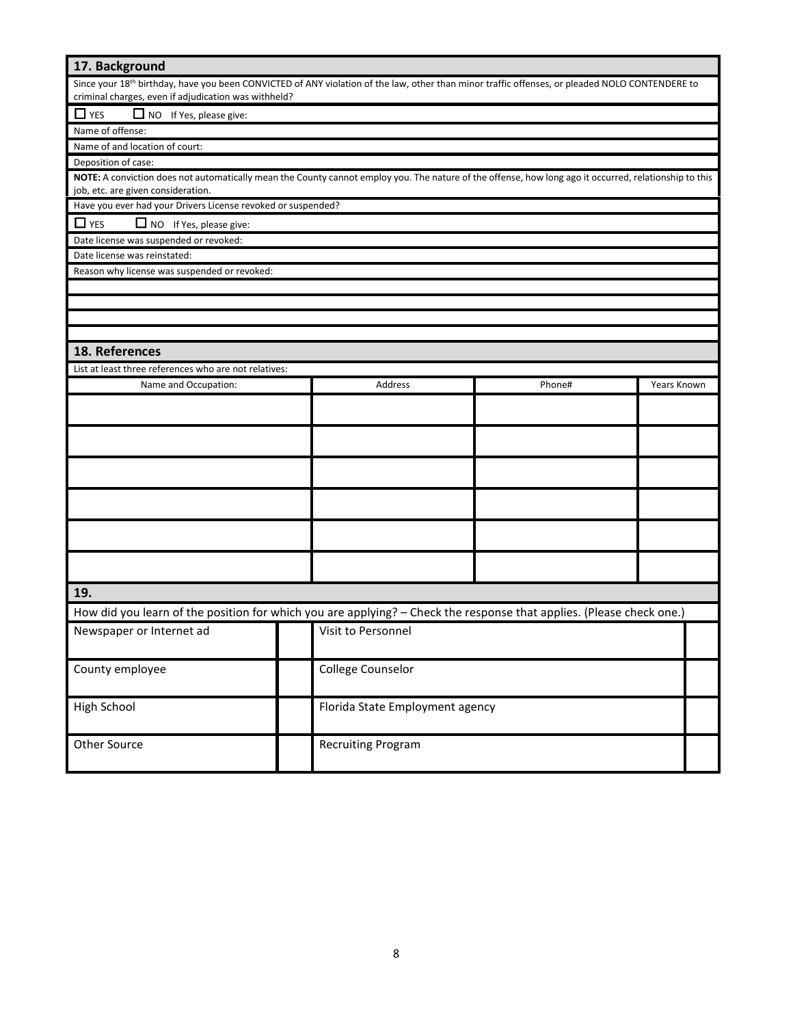| 17. Background                                                                                                                                                                               |                                                                                                                                                                                                                     |                                 |        |             |  |
|----------------------------------------------------------------------------------------------------------------------------------------------------------------------------------------------|---------------------------------------------------------------------------------------------------------------------------------------------------------------------------------------------------------------------|---------------------------------|--------|-------------|--|
|                                                                                                                                                                                              | Since your 18 <sup>th</sup> birthday, have you been CONVICTED of ANY violation of the law, other than minor traffic offenses, or pleaded NOLO CONTENDERE to<br>criminal charges, even if adjudication was withheld? |                                 |        |             |  |
| NO If Yes, please give:<br>$\Box$ YES                                                                                                                                                        |                                                                                                                                                                                                                     |                                 |        |             |  |
| Name of offense:                                                                                                                                                                             |                                                                                                                                                                                                                     |                                 |        |             |  |
| Name of and location of court:                                                                                                                                                               |                                                                                                                                                                                                                     |                                 |        |             |  |
| Deposition of case:                                                                                                                                                                          |                                                                                                                                                                                                                     |                                 |        |             |  |
| NOTE: A conviction does not automatically mean the County cannot employ you. The nature of the offense, how long ago it occurred, relationship to this<br>job, etc. are given consideration. |                                                                                                                                                                                                                     |                                 |        |             |  |
| Have you ever had your Drivers License revoked or suspended?                                                                                                                                 |                                                                                                                                                                                                                     |                                 |        |             |  |
| $\Box$ YES<br>$\Box$ NO If Yes, please give:                                                                                                                                                 |                                                                                                                                                                                                                     |                                 |        |             |  |
| Date license was suspended or revoked:                                                                                                                                                       |                                                                                                                                                                                                                     |                                 |        |             |  |
| Date license was reinstated:                                                                                                                                                                 |                                                                                                                                                                                                                     |                                 |        |             |  |
| Reason why license was suspended or revoked:                                                                                                                                                 |                                                                                                                                                                                                                     |                                 |        |             |  |
|                                                                                                                                                                                              |                                                                                                                                                                                                                     |                                 |        |             |  |
|                                                                                                                                                                                              |                                                                                                                                                                                                                     |                                 |        |             |  |
|                                                                                                                                                                                              |                                                                                                                                                                                                                     |                                 |        |             |  |
|                                                                                                                                                                                              |                                                                                                                                                                                                                     |                                 |        |             |  |
| 18. References                                                                                                                                                                               |                                                                                                                                                                                                                     |                                 |        |             |  |
| List at least three references who are not relatives:                                                                                                                                        |                                                                                                                                                                                                                     |                                 |        |             |  |
| Name and Occupation:                                                                                                                                                                         |                                                                                                                                                                                                                     | Address                         | Phone# | Years Known |  |
|                                                                                                                                                                                              |                                                                                                                                                                                                                     |                                 |        |             |  |
|                                                                                                                                                                                              |                                                                                                                                                                                                                     |                                 |        |             |  |
|                                                                                                                                                                                              |                                                                                                                                                                                                                     |                                 |        |             |  |
|                                                                                                                                                                                              |                                                                                                                                                                                                                     |                                 |        |             |  |
|                                                                                                                                                                                              |                                                                                                                                                                                                                     |                                 |        |             |  |
|                                                                                                                                                                                              |                                                                                                                                                                                                                     |                                 |        |             |  |
|                                                                                                                                                                                              |                                                                                                                                                                                                                     |                                 |        |             |  |
|                                                                                                                                                                                              |                                                                                                                                                                                                                     |                                 |        |             |  |
|                                                                                                                                                                                              |                                                                                                                                                                                                                     |                                 |        |             |  |
|                                                                                                                                                                                              |                                                                                                                                                                                                                     |                                 |        |             |  |
| 19.                                                                                                                                                                                          |                                                                                                                                                                                                                     |                                 |        |             |  |
| How did you learn of the position for which you are applying? - Check the response that applies. (Please check one.)                                                                         |                                                                                                                                                                                                                     |                                 |        |             |  |
|                                                                                                                                                                                              |                                                                                                                                                                                                                     |                                 |        |             |  |
| Newspaper or Internet ad                                                                                                                                                                     |                                                                                                                                                                                                                     | Visit to Personnel              |        |             |  |
| County employee                                                                                                                                                                              |                                                                                                                                                                                                                     | College Counselor               |        |             |  |
|                                                                                                                                                                                              |                                                                                                                                                                                                                     |                                 |        |             |  |
| High School                                                                                                                                                                                  |                                                                                                                                                                                                                     | Florida State Employment agency |        |             |  |
| Other Source<br>Recruiting Program                                                                                                                                                           |                                                                                                                                                                                                                     |                                 |        |             |  |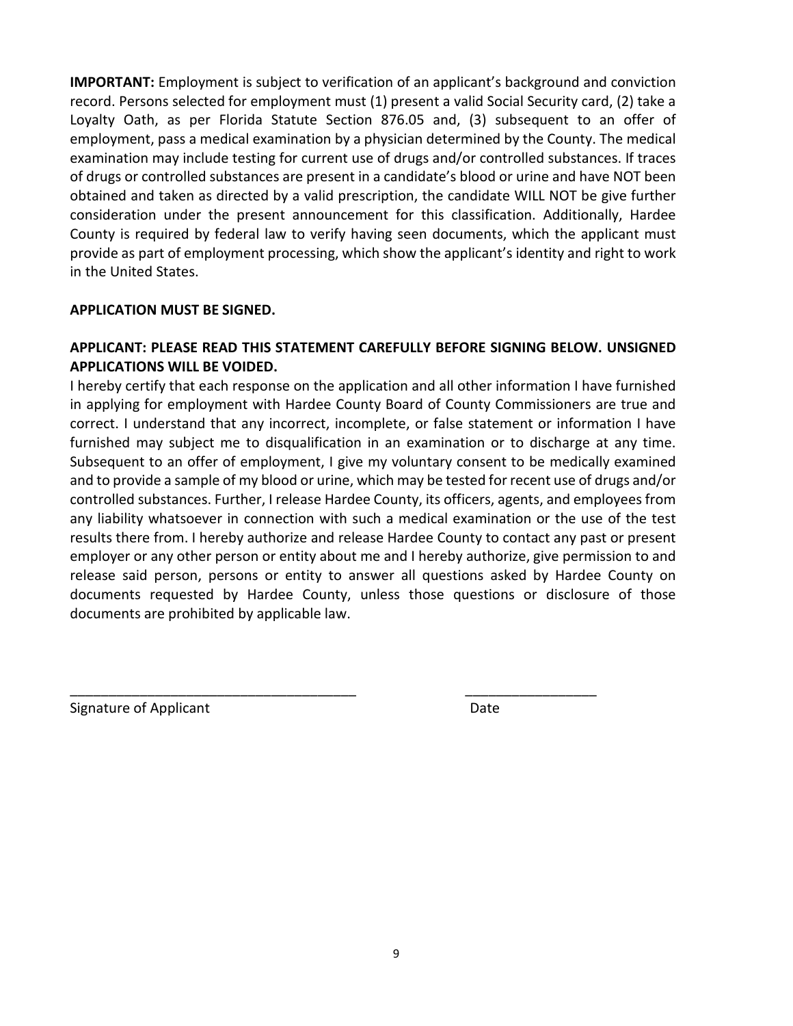**IMPORTANT:** Employment is subject to verification of an applicant's background and conviction record. Persons selected for employment must (1) present a valid Social Security card, (2) take a Loyalty Oath, as per Florida Statute Section 876.05 and, (3) subsequent to an offer of employment, pass a medical examination by a physician determined by the County. The medical examination may include testing for current use of drugs and/or controlled substances. If traces of drugs or controlled substances are present in a candidate's blood or urine and have NOT been obtained and taken as directed by a valid prescription, the candidate WILL NOT be give further consideration under the present announcement for this classification. Additionally, Hardee County is required by federal law to verify having seen documents, which the applicant must provide as part of employment processing, which show the applicant's identity and right to work in the United States.

### **APPLICATION MUST BE SIGNED.**

### **APPLICANT: PLEASE READ THIS STATEMENT CAREFULLY BEFORE SIGNING BELOW. UNSIGNED APPLICATIONS WILL BE VOIDED.**

I hereby certify that each response on the application and all other information I have furnished in applying for employment with Hardee County Board of County Commissioners are true and correct. I understand that any incorrect, incomplete, or false statement or information I have furnished may subject me to disqualification in an examination or to discharge at any time. Subsequent to an offer of employment, I give my voluntary consent to be medically examined and to provide a sample of my blood or urine, which may be tested for recent use of drugs and/or controlled substances. Further, I release Hardee County, its officers, agents, and employees from any liability whatsoever in connection with such a medical examination or the use of the test results there from. I hereby authorize and release Hardee County to contact any past or present employer or any other person or entity about me and I hereby authorize, give permission to and release said person, persons or entity to answer all questions asked by Hardee County on documents requested by Hardee County, unless those questions or disclosure of those documents are prohibited by applicable law.

\_\_\_\_\_\_\_\_\_\_\_\_\_\_\_\_\_\_\_\_\_\_\_\_\_\_\_\_\_\_\_\_\_\_\_\_\_ \_\_\_\_\_\_\_\_\_\_\_\_\_\_\_\_\_

Signature of Applicant Date Date Date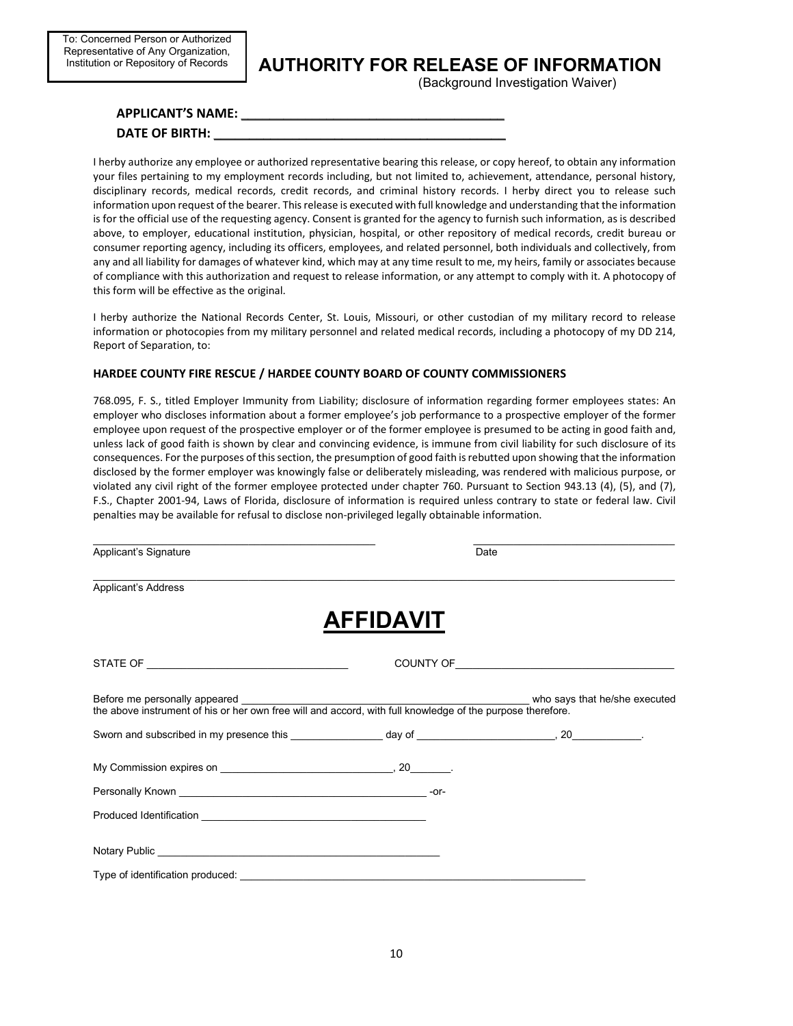## **AUTHORITY FOR RELEASE OF INFORMATION**

(Background Investigation Waiver)

#### **APPLICANT'S NAME:** \_\_\_\_\_\_\_\_\_\_\_\_\_\_\_\_\_\_\_\_\_\_\_\_\_\_\_\_\_\_\_\_\_\_\_\_\_

#### DATE OF BIRTH:

I herby authorize any employee or authorized representative bearing this release, or copy hereof, to obtain any information your files pertaining to my employment records including, but not limited to, achievement, attendance, personal history, disciplinary records, medical records, credit records, and criminal history records. I herby direct you to release such information upon request of the bearer. This release is executed with full knowledge and understanding that the information is for the official use of the requesting agency. Consent is granted for the agency to furnish such information, as is described above, to employer, educational institution, physician, hospital, or other repository of medical records, credit bureau or consumer reporting agency, including its officers, employees, and related personnel, both individuals and collectively, from any and all liability for damages of whatever kind, which may at any time result to me, my heirs, family or associates because of compliance with this authorization and request to release information, or any attempt to comply with it. A photocopy of this form will be effective as the original.

I herby authorize the National Records Center, St. Louis, Missouri, or other custodian of my military record to release information or photocopies from my military personnel and related medical records, including a photocopy of my DD 214, Report of Separation, to:

#### **HARDEE COUNTY FIRE RESCUE / HARDEE COUNTY BOARD OF COUNTY COMMISSIONERS**

768.095, F. S., titled Employer Immunity from Liability; disclosure of information regarding former employees states: An employer who discloses information about a former employee's job performance to a prospective employer of the former employee upon request of the prospective employer or of the former employee is presumed to be acting in good faith and, unless lack of good faith is shown by clear and convincing evidence, is immune from civil liability for such disclosure of its consequences. For the purposes of this section, the presumption of good faith is rebutted upon showing that the information disclosed by the former employer was knowingly false or deliberately misleading, was rendered with malicious purpose, or violated any civil right of the former employee protected under chapter 760. Pursuant to Section 943.13 (4), (5), and (7), F.S., Chapter 2001-94, Laws of Florida, disclosure of information is required unless contrary to state or federal law. Civil penalties may be available for refusal to disclose non-privileged legally obtainable information.

| Applicant's Signature            | Date             |  |
|----------------------------------|------------------|--|
| <b>Applicant's Address</b>       |                  |  |
|                                  | <b>AFFIDAVIT</b> |  |
|                                  |                  |  |
|                                  |                  |  |
|                                  |                  |  |
|                                  |                  |  |
|                                  |                  |  |
|                                  |                  |  |
| Notary Public Notary 2014        |                  |  |
| Type of identification produced: |                  |  |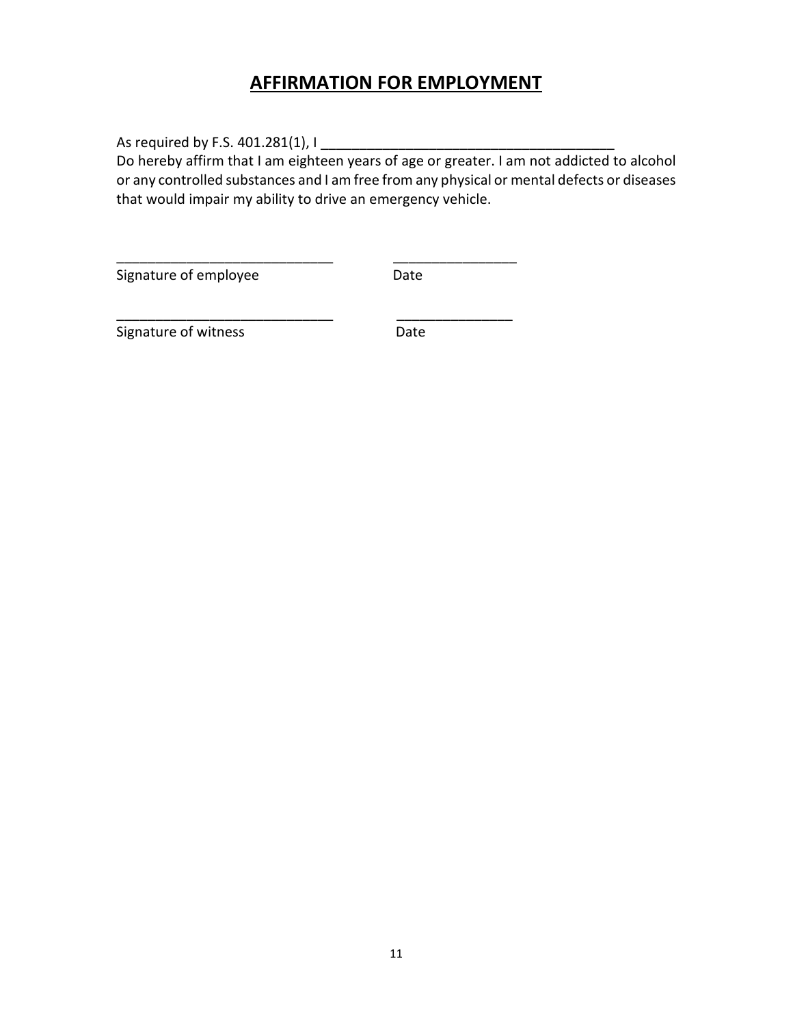## **AFFIRMATION FOR EMPLOYMENT**

As required by F.S. 401.281(1), I

Do hereby affirm that I am eighteen years of age or greater. I am not addicted to alcohol or any controlled substances and I am free from any physical or mental defects or diseases that would impair my ability to drive an emergency vehicle.

\_\_\_\_\_\_\_\_\_\_\_\_\_\_\_\_\_\_\_\_\_\_\_\_\_\_\_\_ \_\_\_\_\_\_\_\_\_\_\_\_\_\_\_\_

\_\_\_\_\_\_\_\_\_\_\_\_\_\_\_\_\_\_\_\_\_\_\_\_\_\_\_\_ \_\_\_\_\_\_\_\_\_\_\_\_\_\_\_

Signature of employee Date

Signature of witness **Date**